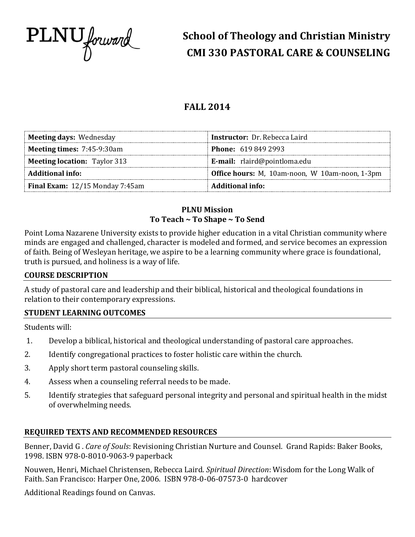

# **School of Theology and Christian Ministry CMI 330 PASTORAL CARE & COUNSELING**

## **FALL 2014**

| <b>Meeting days: Wednesday</b>           | <b>Instructor:</b> Dr. Rebecca Laird           |
|------------------------------------------|------------------------------------------------|
| <b>Meeting times: 7:45-9:30am</b>        | <b>Phone: 619 849 2993</b>                     |
| <b>Meeting location: Taylor 313</b>      | <b>E-mail:</b> rlaird@pointloma.edu            |
| <b>Additional info:</b>                  | Office hours: M, 10am-noon, W 10am-noon, 1-3pm |
| <b>Final Exam:</b> $12/15$ Monday 7:45am | Additional info:                               |

## **PLNU Mission To Teach ~ To Shape ~ To Send**

Point Loma Nazarene University exists to provide higher education in a vital Christian community where minds are engaged and challenged, character is modeled and formed, and service becomes an expression of faith. Being of Wesleyan heritage, we aspire to be a learning community where grace is foundational, truth is pursued, and holiness is a way of life.

#### **COURSE DESCRIPTION**

A study of pastoral care and leadership and their biblical, historical and theological foundations in relation to their contemporary expressions.

## **STUDENT LEARNING OUTCOMES**

Students will:

- 1. Develop a biblical, historical and theological understanding of pastoral care approaches.
- 2. Identify congregational practices to foster holistic care within the church.
- 3. Apply short term pastoral counseling skills.
- 4. Assess when a counseling referral needs to be made.
- 5. Identify strategies that safeguard personal integrity and personal and spiritual health in the midst of overwhelming needs.

## **REQUIRED TEXTS AND RECOMMENDED RESOURCES**

Benner, David G . *Care of Souls*: Revisioning Christian Nurture and Counsel. Grand Rapids: Baker Books, 1998. ISBN 978-0-8010-9063-9 paperback

Nouwen, Henri, Michael Christensen, Rebecca Laird. *Spiritual Direction*: Wisdom for the Long Walk of Faith. San Francisco: Harper One, 2006. ISBN 978-0-06-07573-0 hardcover

Additional Readings found on Canvas.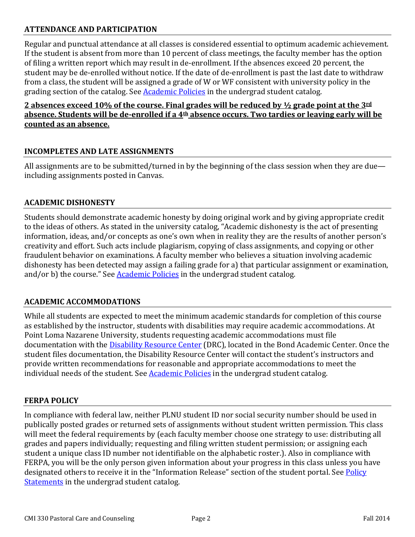## **ATTENDANCE AND PARTICIPATION**

Regular and punctual attendance at all classes is considered essential to optimum academic achievement. If the student is absent from more than 10 percent of class meetings, the faculty member has the option of filing a written report which may result in de-enrollment. If the absences exceed 20 percent, the student may be de-enrolled without notice. If the date of de-enrollment is past the last date to withdraw from a class, the student will be assigned a grade of W or WF consistent with university policy in the grading section of the catalog. See **Academic Policies** in the undergrad student catalog.

## **2 absences exceed 10% of the course. Final grades will be reduced by ½ grade point at the 3rd absence. Students will be de-enrolled if a 4th absence occurs. Two tardies or leaving early will be counted as an absence.**

## **INCOMPLETES AND LATE ASSIGNMENTS**

All assignments are to be submitted/turned in by the beginning of the class session when they are due including assignments posted in Canvas.

#### **ACADEMIC DISHONESTY**

Students should demonstrate academic honesty by doing original work and by giving appropriate credit to the ideas of others. As stated in the university catalog, "Academic dishonesty is the act of presenting information, ideas, and/or concepts as one's own when in reality they are the results of another person's creativity and effort. Such acts include plagiarism, copying of class assignments, and copying or other fraudulent behavior on examinations. A faculty member who believes a situation involving academic dishonesty has been detected may assign a failing grade for a) that particular assignment or examination, and/or b) the course." See **Academic Policies** in the undergrad student catalog.

#### **ACADEMIC ACCOMMODATIONS**

While all students are expected to meet the minimum academic standards for completion of this course as established by the instructor, students with disabilities may require academic accommodations. At Point Loma Nazarene University, students requesting academic accommodations must file documentation with the [Disability Resource Center](http://www.pointloma.edu/experience/offices/administrative-offices/academic-advising-office/disability-resource-center) (DRC), located in the Bond Academic Center. Once the student files documentation, the Disability Resource Center will contact the student's instructors and provide written recommendations for reasonable and appropriate accommodations to meet the individual needs of the student. Se[e Academic Policies](http://www.pointloma.edu/experience/academics/catalogs/undergraduate-catalog/point-loma-education/academic-policies) in the undergrad student catalog.

#### **FERPA POLICY**

In compliance with federal law, neither PLNU student ID nor social security number should be used in publically posted grades or returned sets of assignments without student written permission. This class will meet the federal requirements by (each faculty member choose one strategy to use: distributing all grades and papers individually; requesting and filing written student permission; or assigning each student a unique class ID number not identifiable on the alphabetic roster.). Also in compliance with FERPA, you will be the only person given information about your progress in this class unless you have designated others to receive it in the "Information Release" section of the student portal. See Policy [Statements](http://www.pointloma.edu/experience/academics/catalogs/undergraduate-catalog/policy-statements) in the undergrad student catalog.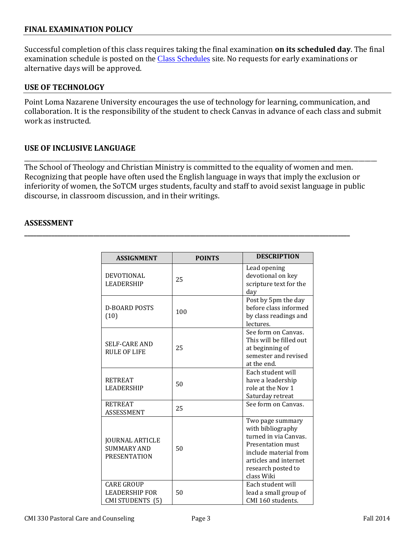#### **FINAL EXAMINATION POLICY**

Successful completion of this class requires taking the final examination **on its scheduled day**. The final examination schedule is posted on the [Class Schedules](http://www.pointloma.edu/experience/academics/class-schedules) site. No requests for early examinations or alternative days will be approved.

#### **USE OF TECHNOLOGY**

Point Loma Nazarene University encourages the use of technology for learning, communication, and collaboration. It is the responsibility of the student to check Canvas in advance of each class and submit work as instructed.

#### **USE OF INCLUSIVE LANGUAGE**

\_\_\_\_\_\_\_\_\_\_\_\_\_\_\_\_\_\_\_\_\_\_\_\_\_\_\_\_\_\_\_\_\_\_\_\_\_\_\_\_\_\_\_\_\_\_\_\_\_\_\_\_\_\_\_\_\_\_\_\_\_\_\_\_\_\_\_\_\_\_\_\_\_\_\_\_\_\_\_\_\_\_\_\_\_\_\_\_\_\_\_\_\_\_\_\_\_\_\_\_\_\_\_\_\_\_\_\_\_\_\_\_\_\_\_\_\_ The School of Theology and Christian Ministry is committed to the equality of women and men. Recognizing that people have often used the English language in ways that imply the exclusion or inferiority of women, the SoTCM urges students, faculty and staff to avoid sexist language in public discourse, in classroom discussion, and in their writings.

**\_\_\_\_\_\_\_\_\_\_\_\_\_\_\_\_\_\_\_\_\_\_\_\_\_\_\_\_\_\_\_\_\_\_\_\_\_\_\_\_\_\_\_\_\_\_\_\_\_\_\_\_\_\_\_\_\_\_\_\_\_\_\_\_\_\_\_\_\_\_\_\_\_\_\_\_\_\_\_\_\_\_\_\_\_\_\_\_\_\_\_\_\_\_\_\_\_\_\_\_\_\_\_\_\_\_\_\_**

#### **ASSESSMENT**

| <b>ASSIGNMENT</b>                                                     | <b>POINTS</b> | <b>DESCRIPTION</b>                                                                                                                                                        |
|-----------------------------------------------------------------------|---------------|---------------------------------------------------------------------------------------------------------------------------------------------------------------------------|
| <b>DEVOTIONAL</b><br><b>LEADERSHIP</b>                                | 25            | Lead opening<br>devotional on key<br>scripture text for the<br>day                                                                                                        |
| <b>D-BOARD POSTS</b><br>(10)                                          | 100           | Post by 5pm the day<br>before class informed<br>by class readings and<br>lectures.                                                                                        |
| <b>SELF-CARE AND</b><br><b>RULE OF LIFE</b>                           | 25            | See form on Canvas.<br>This will be filled out<br>at beginning of<br>semester and revised<br>at the end.                                                                  |
| <b>RETREAT</b><br><b>LEADERSHIP</b>                                   | 50            | Each student will<br>have a leadership<br>role at the Nov 1<br>Saturday retreat                                                                                           |
| <b>RETREAT</b><br>ASSESSMENT                                          | 25            | See form on Canvas.                                                                                                                                                       |
| <b>JOURNAL ARTICLE</b><br><b>SUMMARY AND</b><br><b>PRESENTATION</b>   | 50            | Two page summary<br>with bibliography<br>turned in via Canvas.<br>Presentation must<br>include material from<br>articles and internet<br>research posted to<br>class Wiki |
| <b>CARE GROUP</b><br><b>LEADERSHIP FOR</b><br><b>CMI STUDENTS (5)</b> | 50            | Each student will<br>lead a small group of<br>CMI 160 students.                                                                                                           |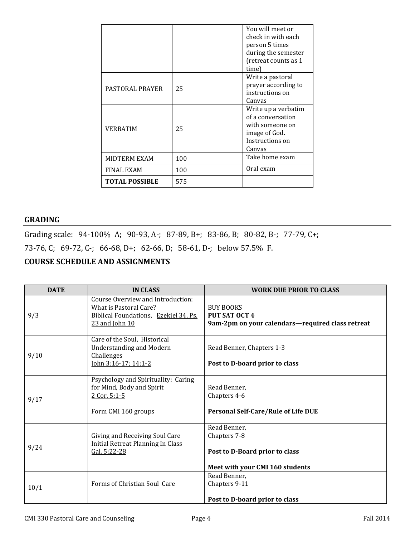|                       |     | You will meet or<br>check in with each<br>person 5 times<br>during the semester<br>(retreat counts as 1<br>time) |
|-----------------------|-----|------------------------------------------------------------------------------------------------------------------|
| PASTORAL PRAYER       | 25  | Write a pastoral<br>prayer according to<br>instructions on<br>Canvas                                             |
| VERBATIM              | 25  | Write up a verbatim<br>of a conversation<br>with someone on<br>image of God.<br>Instructions on<br>Canvas        |
| MIDTERM EXAM          | 100 | Take home exam                                                                                                   |
| FINAL EXAM            | 100 | Oral exam                                                                                                        |
| <b>TOTAL POSSIBLE</b> | 575 |                                                                                                                  |

#### **GRADING**

Grading scale: 94-100% A; 90-93, A-; 87-89, B+; 83-86, B; 80-82, B-; 77-79, C+;

73-76, C; 69-72, C-; 66-68, D+; 62-66, D; 58-61, D-; below 57.5% F.

#### **COURSE SCHEDULE AND ASSIGNMENTS**

| <b>DATE</b> | <b>IN CLASS</b>                                                                                                        | <b>WORK DUE PRIOR TO CLASS</b>                                                                    |
|-------------|------------------------------------------------------------------------------------------------------------------------|---------------------------------------------------------------------------------------------------|
| 9/3         | Course Overview and Introduction:<br>What is Pastoral Care?<br>Biblical Foundations, Ezekiel 34, Ps.<br>23 and John 10 | <b>BUY BOOKS</b><br><b>PUT SAT OCT 4</b><br>9am-2pm on your calendars-required class retreat      |
| 9/10        | Care of the Soul, Historical<br><b>Understanding and Modern</b><br>Challenges<br>John 3:16-17; 14:1-2                  | Read Benner, Chapters 1-3<br>Post to D-board prior to class                                       |
| 9/17        | Psychology and Spirituality: Caring<br>for Mind, Body and Spirit<br>2 Cor. 5:1-5<br>Form CMI 160 groups                | Read Benner,<br>Chapters 4-6<br>Personal Self-Care/Rule of Life DUE                               |
| 9/24        | Giving and Receiving Soul Care<br>Initial Retreat Planning In Class<br>Gal. 5:22-28                                    | Read Benner,<br>Chapters 7-8<br>Post to D-Board prior to class<br>Meet with your CMI 160 students |
| 10/1        | Forms of Christian Soul Care                                                                                           | Read Benner,<br>Chapters 9-11<br>Post to D-board prior to class                                   |